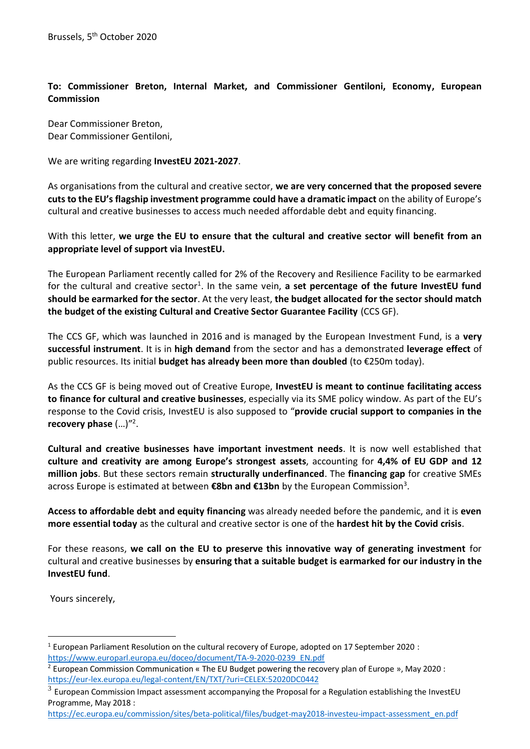## **To: Commissioner Breton, Internal Market, and Commissioner Gentiloni, Economy, European Commission**

Dear Commissioner Breton, Dear Commissioner Gentiloni,

We are writing regarding **InvestEU 2021-2027**.

As organisations from the cultural and creative sector, **we are very concerned that the proposed severe cuts to the EU's flagship investment programme could have a dramatic impact** on the ability of Europe's cultural and creative businesses to access much needed affordable debt and equity financing.

With this letter, **we urge the EU to ensure that the cultural and creative sector will benefit from an appropriate level of support via InvestEU.** 

The European Parliament recently called for 2% of the Recovery and Resilience Facility to be earmarked for the cultural and creative sector<sup>1</sup>. In the same vein, a set percentage of the future InvestEU fund **should be earmarked for the sector**. At the very least, **the budget allocated for the sector should match the budget of the existing Cultural and Creative Sector Guarantee Facility** (CCS GF).

The CCS GF, which was launched in 2016 and is managed by the European Investment Fund, is a **very successful instrument**. It is in **high demand** from the sector and has a demonstrated **leverage effect** of public resources. Its initial **budget has already been more than doubled** (to €250m today).

As the CCS GF is being moved out of Creative Europe, **InvestEU is meant to continue facilitating access to finance for cultural and creative businesses**, especially via its SME policy window. As part of the EU's response to the Covid crisis, InvestEU is also supposed to "**provide crucial support to companies in the recovery phase** (…)"<sup>2</sup> .

**Cultural and creative businesses have important investment needs**. It is now well established that **culture and creativity are among Europe's strongest assets**, accounting for **4,4% of EU GDP and 12 million jobs**. But these sectors remain **structurally underfinanced**. The **financing gap** for creative SMEs across Europe is estimated at between **€8bn and €13bn** by the European Commission<sup>3</sup> .

**Access to affordable debt and equity financing** was already needed before the pandemic, and it is **even more essential today** as the cultural and creative sector is one of the **hardest hit by the Covid crisis**.

For these reasons, **we call on the EU to preserve this innovative way of generating investment** for cultural and creative businesses by **ensuring that a suitable budget is earmarked for our industry in the InvestEU fund**.

Yours sincerely,

 $\overline{a}$ <sup>1</sup> European Parliament Resolution on the cultural recovery of Europe, adopted on 17 September 2020 : [https://www.europarl.europa.eu/doceo/document/TA-9-2020-0239\\_EN.pdf](https://www.europarl.europa.eu/doceo/document/TA-9-2020-0239_EN.pdf)

<sup>2</sup> European Commission Communication « The EU Budget powering the recovery plan of Europe », May 2020 : <https://eur-lex.europa.eu/legal-content/EN/TXT/?uri=CELEX:52020DC0442>

 $^3$  European Commission Impact assessment accompanying the Proposal for a Regulation establishing the InvestEU Programme, May 2018 :

[https://ec.europa.eu/commission/sites/beta-political/files/budget-may2018-investeu-impact-assessment\\_en.pdf](https://ec.europa.eu/commission/sites/beta-political/files/budget-may2018-investeu-impact-assessment_en.pdf)